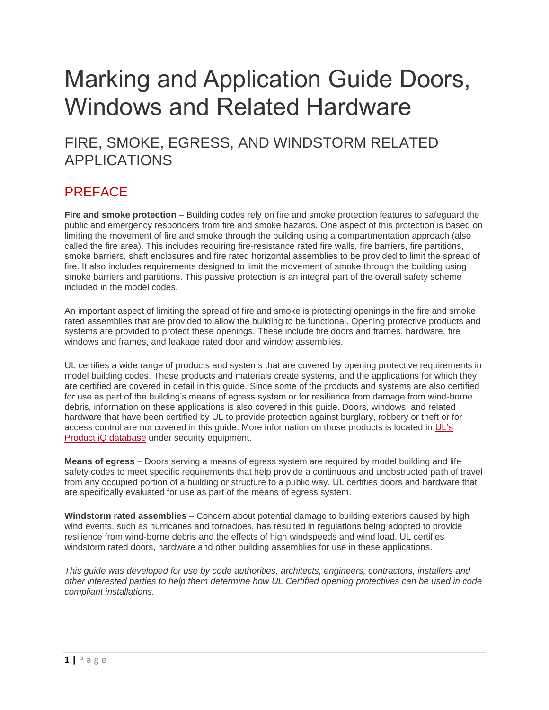# Marking and Application Guide Doors, Windows and Related Hardware

FIRE, SMOKE, EGRESS, AND WINDSTORM RELATED APPLICATIONS

## PREFACE

**Fire and smoke protection** – Building codes rely on fire and smoke protection features to safeguard the public and emergency responders from fire and smoke hazards. One aspect of this protection is based on limiting the movement of fire and smoke through the building using a compartmentation approach (also called the fire area). This includes requiring fire-resistance rated fire walls, fire barriers, fire partitions, smoke barriers, shaft enclosures and fire rated horizontal assemblies to be provided to limit the spread of fire. It also includes requirements designed to limit the movement of smoke through the building using smoke barriers and partitions. This passive protection is an integral part of the overall safety scheme included in the model codes.

An important aspect of limiting the spread of fire and smoke is protecting openings in the fire and smoke rated assemblies that are provided to allow the building to be functional. Opening protective products and systems are provided to protect these openings. These include fire doors and frames, hardware, fire windows and frames, and leakage rated door and window assemblies.

UL certifies a wide range of products and systems that are covered by opening protective requirements in model building codes. These products and materials create systems, and the applications for which they are certified are covered in detail in this guide. Since some of the products and systems are also certified for use as part of the building's means of egress system or for resilience from damage from wind-borne debris, information on these applications is also covered in this guide. Doors, windows, and related hardware that have been certified by UL to provide protection against burglary, robbery or theft or for access control are not covered in this guide. More information on those products is located in [UL's](https://iq.ulprospector.com/en)  [Product iQ database](https://iq.ulprospector.com/en) under security equipment.

**Means of egress** – Doors serving a means of egress system are required by model building and life safety codes to meet specific requirements that help provide a continuous and unobstructed path of travel from any occupied portion of a building or structure to a public way. UL certifies doors and hardware that are specifically evaluated for use as part of the means of egress system.

**Windstorm rated assemblies** – Concern about potential damage to building exteriors caused by high wind events. such as hurricanes and tornadoes, has resulted in regulations being adopted to provide resilience from wind-borne debris and the effects of high windspeeds and wind load. UL certifies windstorm rated doors, hardware and other building assemblies for use in these applications.

*This guide was developed for use by code authorities, architects, engineers, contractors, installers and other interested parties to help them determine how UL Certified opening protectives can be used in code compliant installations.*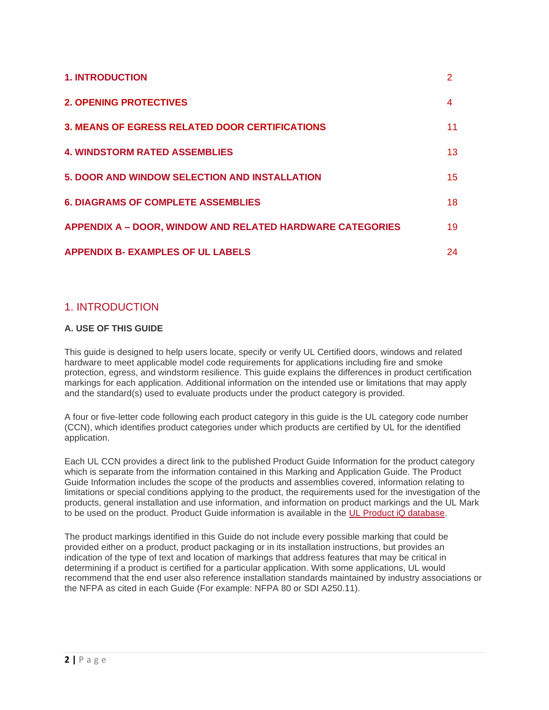| <b>1. INTRODUCTION</b>                                           |    |
|------------------------------------------------------------------|----|
| <b>2. OPENING PROTECTIVES</b>                                    | 4  |
| <b>3. MEANS OF EGRESS RELATED DOOR CERTIFICATIONS</b>            | 11 |
| <b>4. WINDSTORM RATED ASSEMBLIES</b>                             | 13 |
| 5. DOOR AND WINDOW SELECTION AND INSTALLATION                    | 15 |
| <b>6. DIAGRAMS OF COMPLETE ASSEMBLIES</b>                        | 18 |
| <b>APPENDIX A - DOOR, WINDOW AND RELATED HARDWARE CATEGORIES</b> | 19 |
| <b>APPENDIX B- EXAMPLES OF UL LABELS</b>                         | 24 |

### 1. INTRODUCTION

### **A. USE OF THIS GUIDE**

This guide is designed to help users locate, specify or verify UL Certified doors, windows and related hardware to meet applicable model code requirements for applications including fire and smoke protection, egress, and windstorm resilience. This guide explains the differences in product certification markings for each application. Additional information on the intended use or limitations that may apply and the standard(s) used to evaluate products under the product category is provided.

A four or five-letter code following each product category in this guide is the UL category code number (CCN), which identifies product categories under which products are certified by UL for the identified application.

Each UL CCN provides a direct link to the published Product Guide Information for the product category which is separate from the information contained in this Marking and Application Guide. The Product Guide Information includes the scope of the products and assemblies covered, information relating to limitations or special conditions applying to the product, the requirements used for the investigation of the products, general installation and use information, and information on product markings and the UL Mark to be used on the product. Product Guide information is available in the [UL Product iQ database.](https://iq.ulprospector.com/en)

The product markings identified in this Guide do not include every possible marking that could be provided either on a product, product packaging or in its installation instructions, but provides an indication of the type of text and location of markings that address features that may be critical in determining if a product is certified for a particular application. With some applications, UL would recommend that the end user also reference installation standards maintained by industry associations or the NFPA as cited in each Guide (For example: NFPA 80 or SDI A250.11).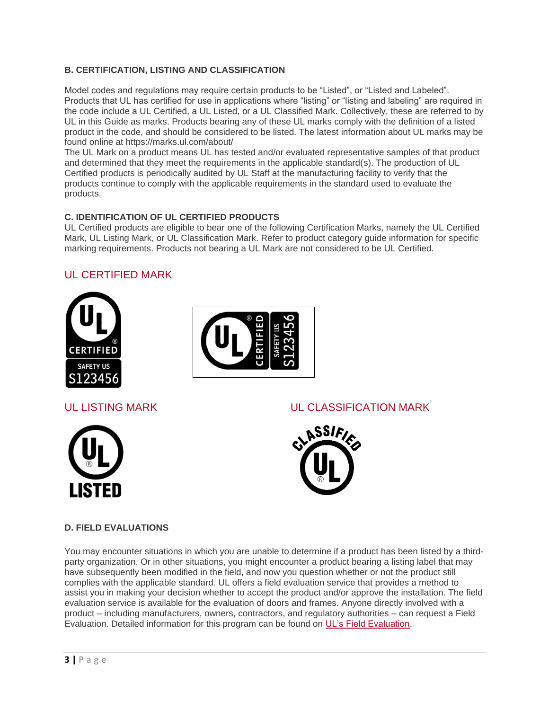### **B. CERTIFICATION, LISTING AND CLASSIFICATION**

Model codes and regulations may require certain products to be "Listed", or "Listed and Labeled". Products that UL has certified for use in applications where "listing" or "listing and labeling" are required in the code include a UL Certified, a UL Listed, or a UL Classified Mark. Collectively, these are referred to by UL in this Guide as marks. Products bearing any of these UL marks comply with the definition of a listed product in the code, and should be considered to be listed. The latest information about UL marks may be found online at https://marks.ul.com/about/

The UL Mark on a product means UL has tested and/or evaluated representative samples of that product and determined that they meet the requirements in the applicable standard(s). The production of UL Certified products is periodically audited by UL Staff at the manufacturing facility to verify that the products continue to comply with the applicable requirements in the standard used to evaluate the products.

#### **C. IDENTIFICATION OF UL CERTIFIED PRODUCTS**

UL Certified products are eligible to bear one of the following Certification Marks, namely the UL Certified Mark, UL Listing Mark, or UL Classification Mark. Refer to product category guide information for specific marking requirements. Products not bearing a UL Mark are not considered to be UL Certified.

### UL CERTIFIED MARK







### UL LISTING MARK UL CLASSIFICATION MARK



### **D. FIELD EVALUATIONS**

You may encounter situations in which you are unable to determine if a product has been listed by a thirdparty organization. Or in other situations, you might encounter a product bearing a listing label that may have subsequently been modified in the field, and now you question whether or not the product still complies with the applicable standard. UL offers a field evaluation service that provides a method to assist you in making your decision whether to accept the product and/or approve the installation. The field evaluation service is available for the evaluation of doors and frames. Anyone directly involved with a product – including manufacturers, owners, contractors, and regulatory authorities – can request a Field Evaluation. Detailed information for this program can be found on [UL's Field Evaluation.](https://code-authorities.ul.com/marking-and-application-guide-doors-windows-and-related-hardware/www.ul.com/field)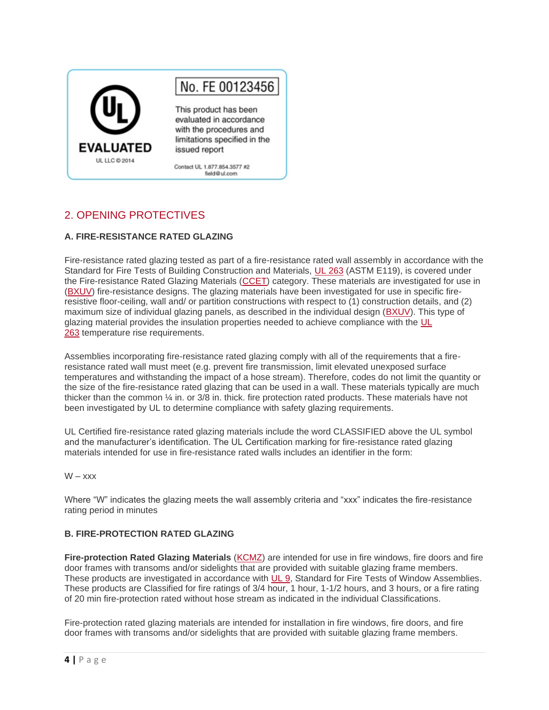

### 2. OPENING PROTECTIVES

#### **A. FIRE-RESISTANCE RATED GLAZING**

Fire-resistance rated glazing tested as part of a fire-resistance rated wall assembly in accordance with the Standard for Fire Tests of Building Construction and Materials, [UL 263](https://standardscatalog.ul.com/ProductDetail.aspx?productId=UL263) (ASTM E119), is covered under the Fire-resistance Rated Glazing Materials [\(CCET\)](https://iq.ulprospector.com/en/profile?e=206835) category. These materials are investigated for use in [\(BXUV\)](https://iq.ulprospector.com/en/profile?e=206790) fire-resistance designs. The glazing materials have been investigated for use in specific fireresistive floor-ceiling, wall and/ or partition constructions with respect to (1) construction details, and (2) maximum size of individual glazing panels, as described in the individual design [\(BXUV\)](https://iq.ulprospector.com/en/profile?e=206790). This type of glazing material provides the insulation properties needed to achieve compliance with the [UL](https://standardscatalog.ul.com/ProductDetail.aspx?productId=UL263)  [263](https://standardscatalog.ul.com/ProductDetail.aspx?productId=UL263) temperature rise requirements.

Assemblies incorporating fire-resistance rated glazing comply with all of the requirements that a fireresistance rated wall must meet (e.g. prevent fire transmission, limit elevated unexposed surface temperatures and withstanding the impact of a hose stream). Therefore, codes do not limit the quantity or the size of the fire-resistance rated glazing that can be used in a wall. These materials typically are much thicker than the common ¼ in. or 3/8 in. thick. fire protection rated products. These materials have not been investigated by UL to determine compliance with safety glazing requirements.

UL Certified fire-resistance rated glazing materials include the word CLASSIFIED above the UL symbol and the manufacturer's identification. The UL Certification marking for fire-resistance rated glazing materials intended for use in fire-resistance rated walls includes an identifier in the form:

#### $W - xxx$

Where "W" indicates the glazing meets the wall assembly criteria and "xxx" indicates the fire-resistance rating period in minutes

#### **B. FIRE-PROTECTION RATED GLAZING**

Fire-protection Rated Glazing Materials [\(KCMZ\)](https://iq.ulprospector.com/en/profile?e=208861) are intended for use in fire windows, fire doors and fire door frames with transoms and/or sidelights that are provided with suitable glazing frame members. These products are investigated in accordance with [UL 9,](https://standardscatalog.ul.com/ProductDetail.aspx?productId=UL9) Standard for Fire Tests of Window Assemblies. These products are Classified for fire ratings of 3/4 hour, 1 hour, 1-1/2 hours, and 3 hours, or a fire rating of 20 min fire-protection rated without hose stream as indicated in the individual Classifications.

Fire-protection rated glazing materials are intended for installation in fire windows, fire doors, and fire door frames with transoms and/or sidelights that are provided with suitable glazing frame members.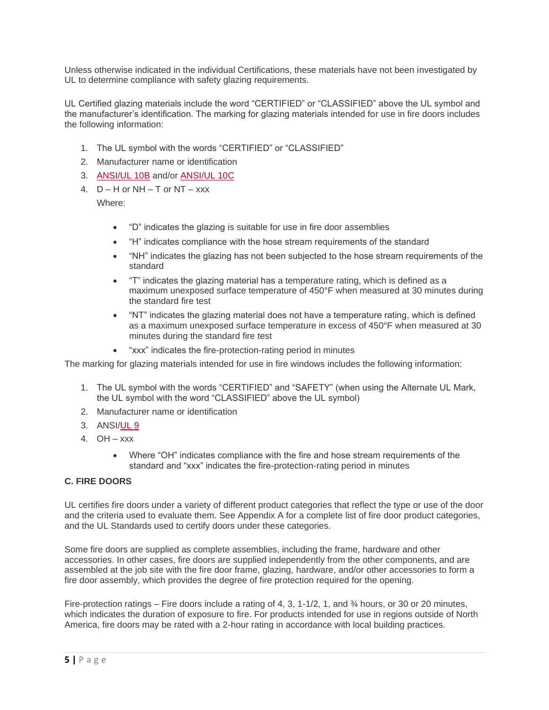Unless otherwise indicated in the individual Certifications, these materials have not been investigated by UL to determine compliance with safety glazing requirements.

UL Certified glazing materials include the word "CERTIFIED" or "CLASSIFIED" above the UL symbol and the manufacturer's identification. The marking for glazing materials intended for use in fire doors includes the following information:

- 1. The UL symbol with the words "CERTIFIED" or "CLASSIFIED"
- 2. Manufacturer name or identification
- 3. [ANSI/UL 10B](https://standardscatalog.ul.com/ProductDetail.aspx?productId=UL10B) and/or [ANSI/UL 10C](https://standardscatalog.ul.com/ProductDetail.aspx?productId=UL10C)
- 4.  $D H$  or NH T or NT xxx

Where:

- "D" indicates the glazing is suitable for use in fire door assemblies
- "H" indicates compliance with the hose stream requirements of the standard
- "NH" indicates the glazing has not been subjected to the hose stream requirements of the standard
- "T" indicates the glazing material has a temperature rating, which is defined as a maximum unexposed surface temperature of 450°F when measured at 30 minutes during the standard fire test
- "NT" indicates the glazing material does not have a temperature rating, which is defined as a maximum unexposed surface temperature in excess of 450°F when measured at 30 minutes during the standard fire test
- "xxx" indicates the fire-protection-rating period in minutes

The marking for glazing materials intended for use in fire windows includes the following information:

- 1. The UL symbol with the words "CERTIFIED" and "SAFETY" (when using the Alternate UL Mark, the UL symbol with the word "CLASSIFIED" above the UL symbol)
- 2. Manufacturer name or identification
- 3. ANSI[/UL 9](https://standardscatalog.ul.com/ProductDetail.aspx?productId=UL9)
- 4. OH xxx
	- Where "OH" indicates compliance with the fire and hose stream requirements of the standard and "xxx" indicates the fire-protection-rating period in minutes

#### **C. FIRE DOORS**

UL certifies fire doors under a variety of different product categories that reflect the type or use of the door and the criteria used to evaluate them. See Appendix A for a complete list of fire door product categories, and the UL Standards used to certify doors under these categories.

Some fire doors are supplied as complete assemblies, including the frame, hardware and other accessories. In other cases, fire doors are supplied independently from the other components, and are assembled at the job site with the fire door frame, glazing, hardware, and/or other accessories to form a fire door assembly, which provides the degree of fire protection required for the opening.

Fire-protection ratings – Fire doors include a rating of 4, 3, 1-1/2, 1, and ¼ hours, or 30 or 20 minutes, which indicates the duration of exposure to fire. For products intended for use in regions outside of North America, fire doors may be rated with a 2-hour rating in accordance with local building practices.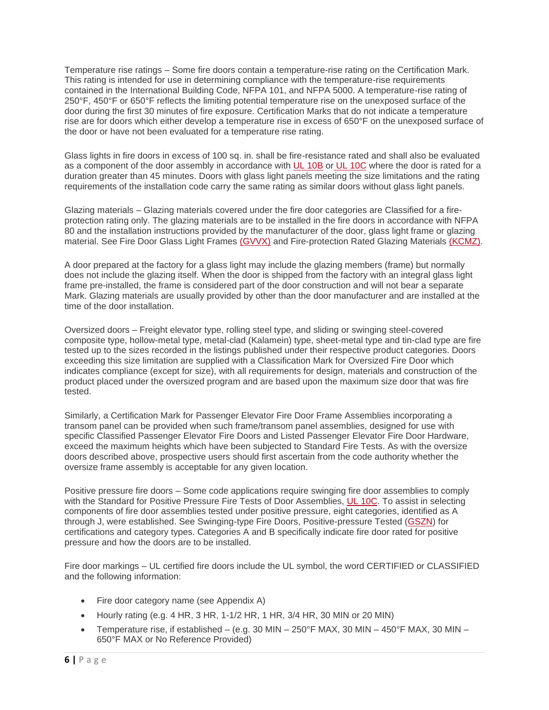Temperature rise ratings – Some fire doors contain a temperature-rise rating on the Certification Mark. This rating is intended for use in determining compliance with the temperature-rise requirements contained in the International Building Code, NFPA 101, and NFPA 5000. A temperature-rise rating of 250°F, 450°F or 650°F reflects the limiting potential temperature rise on the unexposed surface of the door during the first 30 minutes of fire exposure. Certification Marks that do not indicate a temperature rise are for doors which either develop a temperature rise in excess of 650°F on the unexposed surface of the door or have not been evaluated for a temperature rise rating.

Glass lights in fire doors in excess of 100 sq. in. shall be fire-resistance rated and shall also be evaluated as a component of the door assembly in accordance with [UL 10B](https://standardscatalog.ul.com/ProductDetail.aspx?productId=UL10B) or [UL 10C](https://standardscatalog.ul.com/ProductDetail.aspx?productId=UL10C) where the door is rated for a duration greater than 45 minutes. Doors with glass light panels meeting the size limitations and the rating requirements of the installation code carry the same rating as similar doors without glass light panels.

Glazing materials – Glazing materials covered under the fire door categories are Classified for a fireprotection rating only. The glazing materials are to be installed in the fire doors in accordance with NFPA 80 and the installation instructions provided by the manufacturer of the door, glass light frame or glazing material. See Fire Door Glass Light Frames [\(GVVX\)](https://iq.ulprospector.com/en/profile?e=208217) and Fire-protection Rated Glazing Materials [\(KCMZ\).](https://iq.ulprospector.com/en/profile?e=208861)

A door prepared at the factory for a glass light may include the glazing members (frame) but normally does not include the glazing itself. When the door is shipped from the factory with an integral glass light frame pre-installed, the frame is considered part of the door construction and will not bear a separate Mark. Glazing materials are usually provided by other than the door manufacturer and are installed at the time of the door installation.

Oversized doors – Freight elevator type, rolling steel type, and sliding or swinging steel-covered composite type, hollow-metal type, metal-clad (Kalamein) type, sheet-metal type and tin-clad type are fire tested up to the sizes recorded in the listings published under their respective product categories. Doors exceeding this size limitation are supplied with a Classification Mark for Oversized Fire Door which indicates compliance (except for size), with all requirements for design, materials and construction of the product placed under the oversized program and are based upon the maximum size door that was fire tested.

Similarly, a Certification Mark for Passenger Elevator Fire Door Frame Assemblies incorporating a transom panel can be provided when such frame/transom panel assemblies, designed for use with specific Classified Passenger Elevator Fire Doors and Listed Passenger Elevator Fire Door Hardware, exceed the maximum heights which have been subjected to Standard Fire Tests. As with the oversize doors described above, prospective users should first ascertain from the code authority whether the oversize frame assembly is acceptable for any given location.

Positive pressure fire doors – Some code applications require swinging fire door assemblies to comply with the Standard for Positive Pressure Fire Tests of Door Assemblies, [UL 10C.](https://standardscatalog.ul.com/ProductDetail.aspx?productId=UL10C) To assist in selecting components of fire door assemblies tested under positive pressure, eight categories, identified as A through J, were established. See Swinging-type Fire Doors, Positive-pressure Tested [\(GSZN\)](https://iq.ulprospector.com/en/profile?e=208178) for certifications and category types. Categories A and B specifically indicate fire door rated for positive pressure and how the doors are to be installed.

Fire door markings – UL certified fire doors include the UL symbol, the word CERTIFIED or CLASSIFIED and the following information:

- Fire door category name (see Appendix A)
- Hourly rating (e.g.  $4$  HR,  $3$  HR,  $1-1/2$  HR,  $1$  HR,  $3/4$  HR,  $30$  MIN or  $20$  MIN)
- Temperature rise, if established (e.g. 30 MIN 250°F MAX, 30 MIN 450°F MAX, 30 MIN 650°F MAX or No Reference Provided)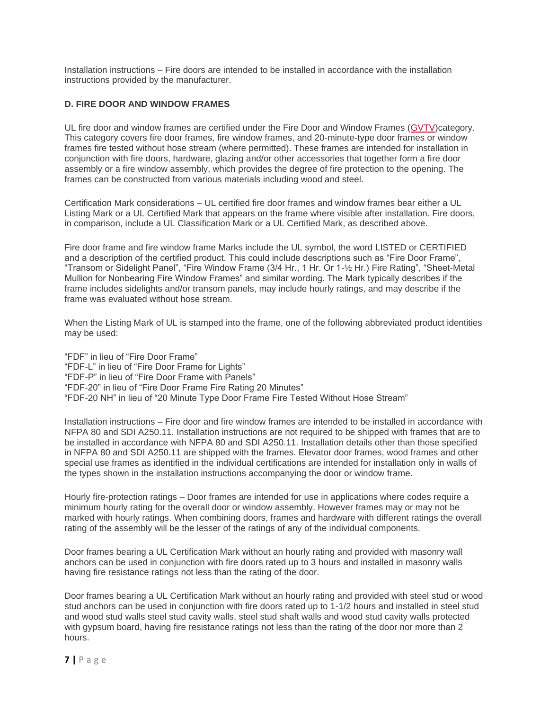Installation instructions – Fire doors are intended to be installed in accordance with the installation instructions provided by the manufacturer.

#### **D. FIRE DOOR AND WINDOW FRAMES**

UL fire door and window frames are certified under the Fire Door and Window Frames [\(GVTV\)](https://iq.ulprospector.com/en/profile?e=208201)category. This category covers fire door frames, fire window frames, and 20-minute-type door frames or window frames fire tested without hose stream (where permitted). These frames are intended for installation in conjunction with fire doors, hardware, glazing and/or other accessories that together form a fire door assembly or a fire window assembly, which provides the degree of fire protection to the opening. The frames can be constructed from various materials including wood and steel.

Certification Mark considerations – UL certified fire door frames and window frames bear either a UL Listing Mark or a UL Certified Mark that appears on the frame where visible after installation. Fire doors, in comparison, include a UL Classification Mark or a UL Certified Mark, as described above.

Fire door frame and fire window frame Marks include the UL symbol, the word LISTED or CERTIFIED and a description of the certified product. This could include descriptions such as "Fire Door Frame", "Transom or Sidelight Panel", "Fire Window Frame (3/4 Hr., 1 Hr. Or 1-½ Hr.) Fire Rating", "Sheet-Metal Mullion for Nonbearing Fire Window Frames" and similar wording. The Mark typically describes if the frame includes sidelights and/or transom panels, may include hourly ratings, and may describe if the frame was evaluated without hose stream.

When the Listing Mark of UL is stamped into the frame, one of the following abbreviated product identities may be used:

"FDF" in lieu of "Fire Door Frame" "FDF-L" in lieu of "Fire Door Frame for Lights" "FDF-P" in lieu of "Fire Door Frame with Panels" "FDF-20" in lieu of "Fire Door Frame Fire Rating 20 Minutes" "FDF-20 NH" in lieu of "20 Minute Type Door Frame Fire Tested Without Hose Stream"

Installation instructions – Fire door and fire window frames are intended to be installed in accordance with NFPA 80 and SDI A250.11. Installation instructions are not required to be shipped with frames that are to be installed in accordance with NFPA 80 and SDI A250.11. Installation details other than those specified in NFPA 80 and SDI A250.11 are shipped with the frames. Elevator door frames, wood frames and other special use frames as identified in the individual certifications are intended for installation only in walls of the types shown in the installation instructions accompanying the door or window frame.

Hourly fire-protection ratings – Door frames are intended for use in applications where codes require a minimum hourly rating for the overall door or window assembly. However frames may or may not be marked with hourly ratings. When combining doors, frames and hardware with different ratings the overall rating of the assembly will be the lesser of the ratings of any of the individual components.

Door frames bearing a UL Certification Mark without an hourly rating and provided with masonry wall anchors can be used in conjunction with fire doors rated up to 3 hours and installed in masonry walls having fire resistance ratings not less than the rating of the door.

Door frames bearing a UL Certification Mark without an hourly rating and provided with steel stud or wood stud anchors can be used in conjunction with fire doors rated up to 1-1/2 hours and installed in steel stud and wood stud walls steel stud cavity walls, steel stud shaft walls and wood stud cavity walls protected with gypsum board, having fire resistance ratings not less than the rating of the door nor more than 2 hours.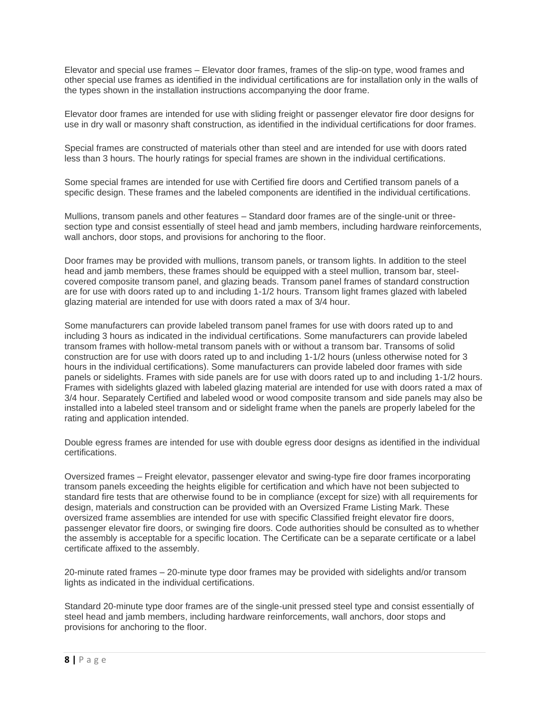Elevator and special use frames – Elevator door frames, frames of the slip-on type, wood frames and other special use frames as identified in the individual certifications are for installation only in the walls of the types shown in the installation instructions accompanying the door frame.

Elevator door frames are intended for use with sliding freight or passenger elevator fire door designs for use in dry wall or masonry shaft construction, as identified in the individual certifications for door frames.

Special frames are constructed of materials other than steel and are intended for use with doors rated less than 3 hours. The hourly ratings for special frames are shown in the individual certifications.

Some special frames are intended for use with Certified fire doors and Certified transom panels of a specific design. These frames and the labeled components are identified in the individual certifications.

Mullions, transom panels and other features – Standard door frames are of the single-unit or threesection type and consist essentially of steel head and jamb members, including hardware reinforcements, wall anchors, door stops, and provisions for anchoring to the floor.

Door frames may be provided with mullions, transom panels, or transom lights. In addition to the steel head and jamb members, these frames should be equipped with a steel mullion, transom bar, steelcovered composite transom panel, and glazing beads. Transom panel frames of standard construction are for use with doors rated up to and including 1-1/2 hours. Transom light frames glazed with labeled glazing material are intended for use with doors rated a max of 3/4 hour.

Some manufacturers can provide labeled transom panel frames for use with doors rated up to and including 3 hours as indicated in the individual certifications. Some manufacturers can provide labeled transom frames with hollow-metal transom panels with or without a transom bar. Transoms of solid construction are for use with doors rated up to and including 1-1/2 hours (unless otherwise noted for 3 hours in the individual certifications). Some manufacturers can provide labeled door frames with side panels or sidelights. Frames with side panels are for use with doors rated up to and including 1-1/2 hours. Frames with sidelights glazed with labeled glazing material are intended for use with doors rated a max of 3/4 hour. Separately Certified and labeled wood or wood composite transom and side panels may also be installed into a labeled steel transom and or sidelight frame when the panels are properly labeled for the rating and application intended.

Double egress frames are intended for use with double egress door designs as identified in the individual certifications.

Oversized frames – Freight elevator, passenger elevator and swing-type fire door frames incorporating transom panels exceeding the heights eligible for certification and which have not been subjected to standard fire tests that are otherwise found to be in compliance (except for size) with all requirements for design, materials and construction can be provided with an Oversized Frame Listing Mark. These oversized frame assemblies are intended for use with specific Classified freight elevator fire doors, passenger elevator fire doors, or swinging fire doors. Code authorities should be consulted as to whether the assembly is acceptable for a specific location. The Certificate can be a separate certificate or a label certificate affixed to the assembly.

20-minute rated frames – 20-minute type door frames may be provided with sidelights and/or transom lights as indicated in the individual certifications.

Standard 20-minute type door frames are of the single-unit pressed steel type and consist essentially of steel head and jamb members, including hardware reinforcements, wall anchors, door stops and provisions for anchoring to the floor.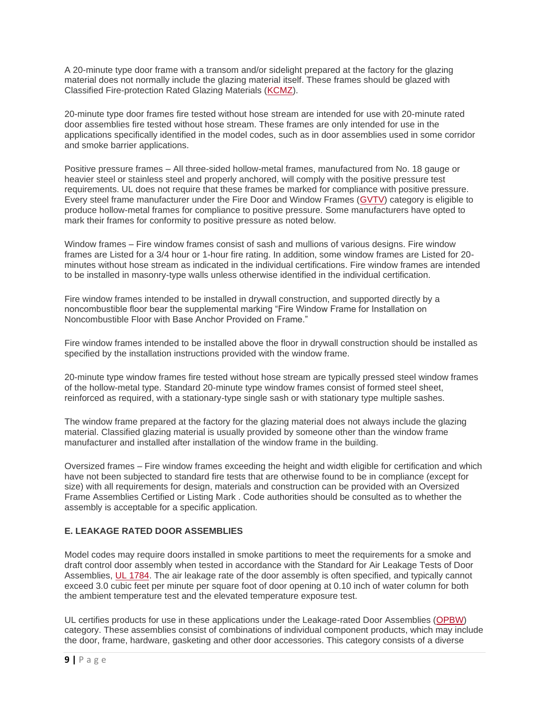A 20-minute type door frame with a transom and/or sidelight prepared at the factory for the glazing material does not normally include the glazing material itself. These frames should be glazed with Classified Fire-protection Rated Glazing Materials [\(KCMZ\)](https://iq.ulprospector.com/en/profile?e=208861).

20-minute type door frames fire tested without hose stream are intended for use with 20-minute rated door assemblies fire tested without hose stream. These frames are only intended for use in the applications specifically identified in the model codes, such as in door assemblies used in some corridor and smoke barrier applications.

Positive pressure frames – All three-sided hollow-metal frames, manufactured from No. 18 gauge or heavier steel or stainless steel and properly anchored, will comply with the positive pressure test requirements. UL does not require that these frames be marked for compliance with positive pressure. Every steel frame manufacturer under the Fire Door and Window Frames [\(GVTV\)](https://iq.ulprospector.com/en/profile?e=208201) category is eligible to produce hollow-metal frames for compliance to positive pressure. Some manufacturers have opted to mark their frames for conformity to positive pressure as noted below.

Window frames – Fire window frames consist of sash and mullions of various designs. Fire window frames are Listed for a 3/4 hour or 1-hour fire rating. In addition, some window frames are Listed for 20 minutes without hose stream as indicated in the individual certifications. Fire window frames are intended to be installed in masonry-type walls unless otherwise identified in the individual certification.

Fire window frames intended to be installed in drywall construction, and supported directly by a noncombustible floor bear the supplemental marking "Fire Window Frame for Installation on Noncombustible Floor with Base Anchor Provided on Frame."

Fire window frames intended to be installed above the floor in drywall construction should be installed as specified by the installation instructions provided with the window frame.

20-minute type window frames fire tested without hose stream are typically pressed steel window frames of the hollow-metal type. Standard 20-minute type window frames consist of formed steel sheet, reinforced as required, with a stationary-type single sash or with stationary type multiple sashes.

The window frame prepared at the factory for the glazing material does not always include the glazing material. Classified glazing material is usually provided by someone other than the window frame manufacturer and installed after installation of the window frame in the building.

Oversized frames – Fire window frames exceeding the height and width eligible for certification and which have not been subjected to standard fire tests that are otherwise found to be in compliance (except for size) with all requirements for design, materials and construction can be provided with an Oversized Frame Assemblies Certified or Listing Mark . Code authorities should be consulted as to whether the assembly is acceptable for a specific application.

#### **E. LEAKAGE RATED DOOR ASSEMBLIES**

Model codes may require doors installed in smoke partitions to meet the requirements for a smoke and draft control door assembly when tested in accordance with the Standard for Air Leakage Tests of Door Assemblies, [UL 1784.](https://standardscatalog.ul.com/ProductDetail.aspx?productId=UL1784) The air leakage rate of the door assembly is often specified, and typically cannot exceed 3.0 cubic feet per minute per square foot of door opening at 0.10 inch of water column for both the ambient temperature test and the elevated temperature exposure test.

UL certifies products for use in these applications under the Leakage-rated Door Assemblies [\(OPBW\)](https://iq.ulprospector.com/en) category. These assemblies consist of combinations of individual component products, which may include the door, frame, hardware, gasketing and other door accessories. This category consists of a diverse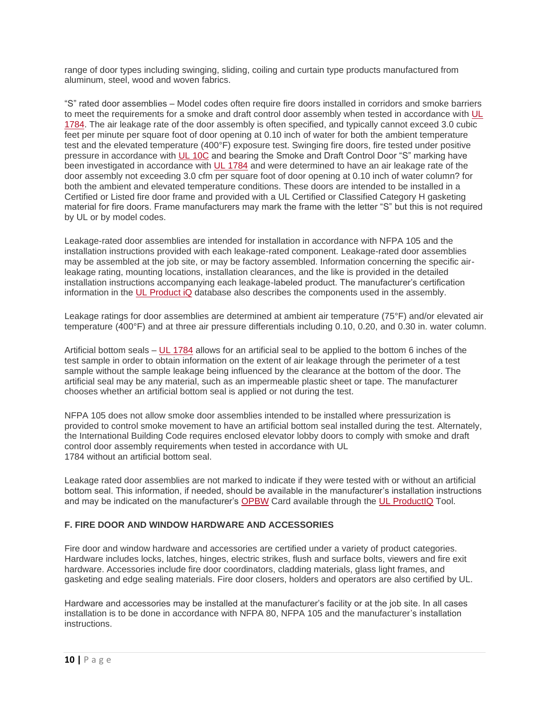range of door types including swinging, sliding, coiling and curtain type products manufactured from aluminum, steel, wood and woven fabrics.

"S" rated door assemblies – Model codes often require fire doors installed in corridors and smoke barriers to meet the requirements for a smoke and draft control door assembly when tested in accordance with [UL](https://standardscatalog.ul.com/ProductDetail.aspx?productId=UL1784)  [1784.](https://standardscatalog.ul.com/ProductDetail.aspx?productId=UL1784) The air leakage rate of the door assembly is often specified, and typically cannot exceed 3.0 cubic feet per minute per square foot of door opening at 0.10 inch of water for both the ambient temperature test and the elevated temperature (400°F) exposure test. Swinging fire doors, fire tested under positive pressure in accordance with [UL 10C](https://standardscatalog.ul.com/ProductDetail.aspx?productId=UL10C) and bearing the Smoke and Draft Control Door "S" marking have been investigated in accordance with [UL 1784](https://standardscatalog.ul.com/ProductDetail.aspx?productId=UL1784) and were determined to have an air leakage rate of the door assembly not exceeding 3.0 cfm per square foot of door opening at 0.10 inch of water column? for both the ambient and elevated temperature conditions. These doors are intended to be installed in a Certified or Listed fire door frame and provided with a UL Certified or Classified Category H gasketing material for fire doors. Frame manufacturers may mark the frame with the letter "S" but this is not required by UL or by model codes.

Leakage-rated door assemblies are intended for installation in accordance with NFPA 105 and the installation instructions provided with each leakage-rated component. Leakage-rated door assemblies may be assembled at the job site, or may be factory assembled. Information concerning the specific airleakage rating, mounting locations, installation clearances, and the like is provided in the detailed installation instructions accompanying each leakage-labeled product. The manufacturer's certification information in the [UL Product iQ](http://www.ul.com/piq) database also describes the components used in the assembly.

Leakage ratings for door assemblies are determined at ambient air temperature (75°F) and/or elevated air temperature (400°F) and at three air pressure differentials including 0.10, 0.20, and 0.30 in. water column.

Artificial bottom seals – [UL 1784](https://standardscatalog.ul.com/ProductDetail.aspx?productId=UL1784) allows for an artificial seal to be applied to the bottom 6 inches of the test sample in order to obtain information on the extent of air leakage through the perimeter of a test sample without the sample leakage being influenced by the clearance at the bottom of the door. The artificial seal may be any material, such as an impermeable plastic sheet or tape. The manufacturer chooses whether an artificial bottom seal is applied or not during the test.

NFPA 105 does not allow smoke door assemblies intended to be installed where pressurization is provided to control smoke movement to have an artificial bottom seal installed during the test. Alternately, the International Building Code requires enclosed elevator lobby doors to comply with smoke and draft control door assembly requirements when tested in accordance with UL 1784 without an artificial bottom seal.

Leakage rated door assemblies are not marked to indicate if they were tested with or without an artificial bottom seal. This information, if needed, should be available in the manufacturer's installation instructions and may be indicated on the manufacturer's [OPBW](https://iq.ulprospector.com/en) Card available through the [UL ProductIQ](http://www.ul.com/piq) Tool.

#### **F. FIRE DOOR AND WINDOW HARDWARE AND ACCESSORIES**

Fire door and window hardware and accessories are certified under a variety of product categories. Hardware includes locks, latches, hinges, electric strikes, flush and surface bolts, viewers and fire exit hardware. Accessories include fire door coordinators, cladding materials, glass light frames, and gasketing and edge sealing materials. Fire door closers, holders and operators are also certified by UL.

Hardware and accessories may be installed at the manufacturer's facility or at the job site. In all cases installation is to be done in accordance with NFPA 80, NFPA 105 and the manufacturer's installation instructions.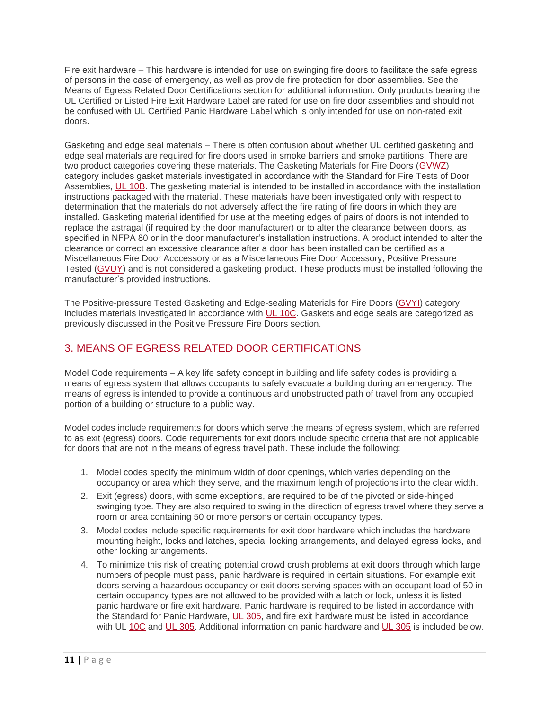Fire exit hardware – This hardware is intended for use on swinging fire doors to facilitate the safe egress of persons in the case of emergency, as well as provide fire protection for door assemblies. See the Means of Egress Related Door Certifications section for additional information. Only products bearing the UL Certified or Listed Fire Exit Hardware Label are rated for use on fire door assemblies and should not be confused with UL Certified Panic Hardware Label which is only intended for use on non-rated exit doors.

Gasketing and edge seal materials – There is often confusion about whether UL certified gasketing and edge seal materials are required for fire doors used in smoke barriers and smoke partitions. There are two product categories covering these materials. The Gasketing Materials for Fire Doors [\(GVWZ\)](https://iq.ulprospector.com/en/profile?e=208220) category includes gasket materials investigated in accordance with the Standard for Fire Tests of Door Assemblies, [UL 10B.](https://standardscatalog.ul.com/ProductDetail.aspx?productId=UL10B) The gasketing material is intended to be installed in accordance with the installation instructions packaged with the material. These materials have been investigated only with respect to determination that the materials do not adversely affect the fire rating of fire doors in which they are installed. Gasketing material identified for use at the meeting edges of pairs of doors is not intended to replace the astragal (if required by the door manufacturer) or to alter the clearance between doors, as specified in NFPA 80 or in the door manufacturer's installation instructions. A product intended to alter the clearance or correct an excessive clearance after a door has been installed can be certified as a Miscellaneous Fire Door Acccessory or as a Miscellaneous Fire Door Accessory, Positive Pressure Tested [\(GVUY\)](https://iq.ulprospector.com/en/profile?e=208211) and is not considered a gasketing product. These products must be installed following the manufacturer's provided instructions.

The Positive-pressure Tested Gasketing and Edge-sealing Materials for Fire Doors [\(GVYI\)](https://iq.ulprospector.com/en/profile?e=208223) category includes materials investigated in accordance with [UL 10C.](https://standardscatalog.ul.com/ProductDetail.aspx?productId=UL10C) Gaskets and edge seals are categorized as previously discussed in the Positive Pressure Fire Doors section.

### 3. MEANS OF EGRESS RELATED DOOR CERTIFICATIONS

Model Code requirements – A key life safety concept in building and life safety codes is providing a means of egress system that allows occupants to safely evacuate a building during an emergency. The means of egress is intended to provide a continuous and unobstructed path of travel from any occupied portion of a building or structure to a public way.

Model codes include requirements for doors which serve the means of egress system, which are referred to as exit (egress) doors. Code requirements for exit doors include specific criteria that are not applicable for doors that are not in the means of egress travel path. These include the following:

- 1. Model codes specify the minimum width of door openings, which varies depending on the occupancy or area which they serve, and the maximum length of projections into the clear width.
- 2. Exit (egress) doors, with some exceptions, are required to be of the pivoted or side-hinged swinging type. They are also required to swing in the direction of egress travel where they serve a room or area containing 50 or more persons or certain occupancy types.
- 3. Model codes include specific requirements for exit door hardware which includes the hardware mounting height, locks and latches, special locking arrangements, and delayed egress locks, and other locking arrangements.
- 4. To minimize this risk of creating potential crowd crush problems at exit doors through which large numbers of people must pass, panic hardware is required in certain situations. For example exit doors serving a hazardous occupancy or exit doors serving spaces with an occupant load of 50 in certain occupancy types are not allowed to be provided with a latch or lock, unless it is listed panic hardware or fire exit hardware. Panic hardware is required to be listed in accordance with the Standard for Panic Hardware, *UL 305*, and fire exit hardware must be listed in accordance with UL [10C](https://standardscatalog.ul.com/ProductDetail.aspx?productId=UL10C) and [UL 305.](https://standardscatalog.ul.com/ProductDetail.aspx?productId=UL305) Additional information on panic hardware and [UL 305](https://standardscatalog.ul.com/ProductDetail.aspx?productId=UL305) is included below.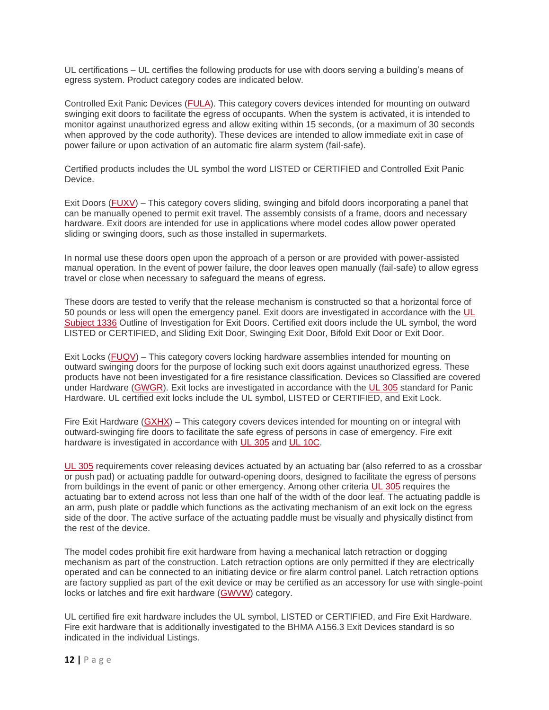UL certifications – UL certifies the following products for use with doors serving a building's means of egress system. Product category codes are indicated below.

Controlled Exit Panic Devices [\(FULA\)](https://iq.ulprospector.com/en/profile?e=207906). This category covers devices intended for mounting on outward swinging exit doors to facilitate the egress of occupants. When the system is activated, it is intended to monitor against unauthorized egress and allow exiting within 15 seconds, (or a maximum of 30 seconds when approved by the code authority). These devices are intended to allow immediate exit in case of power failure or upon activation of an automatic fire alarm system (fail-safe).

Certified products includes the UL symbol the word LISTED or CERTIFIED and Controlled Exit Panic Device.

Exit Doors [\(FUXV\)](https://iq.ulprospector.com/en/profile?e=207914) – This category covers sliding, swinging and bifold doors incorporating a panel that can be manually opened to permit exit travel. The assembly consists of a frame, doors and necessary hardware. Exit doors are intended for use in applications where model codes allow power operated sliding or swinging doors, such as those installed in supermarkets.

In normal use these doors open upon the approach of a person or are provided with power-assisted manual operation. In the event of power failure, the door leaves open manually (fail-safe) to allow egress travel or close when necessary to safeguard the means of egress.

These doors are tested to verify that the release mechanism is constructed so that a horizontal force of 50 pounds or less will open the emergency panel. Exit doors are investigated in accordance with the [UL](https://standardscatalog.ul.com/ProductDetail.aspx?productId=UL1336)  [Subject 1336](https://standardscatalog.ul.com/ProductDetail.aspx?productId=UL1336) Outline of Investigation for Exit Doors. Certified exit doors include the UL symbol, the word LISTED or CERTIFIED, and Sliding Exit Door, Swinging Exit Door, Bifold Exit Door or Exit Door.

Exit Locks [\(FUQV\)](https://iq.ulprospector.com/en/profile?e=207912) – This category covers locking hardware assemblies intended for mounting on outward swinging doors for the purpose of locking such exit doors against unauthorized egress. These products have not been investigated for a fire resistance classification. Devices so Classified are covered under Hardware [\(GWGR\)](https://iq.ulprospector.com/en/profile?e=208226). Exit locks are investigated in accordance with the [UL 305](https://standardscatalog.ul.com/ProductDetail.aspx?productId=UL305) standard for Panic Hardware. UL certified exit locks include the UL symbol, LISTED or CERTIFIED, and Exit Lock.

Fire Exit Hardware [\(GXHX\)](https://iq.ulprospector.com/en/profile?e=208244) – This category covers devices intended for mounting on or integral with outward-swinging fire doors to facilitate the safe egress of persons in case of emergency. Fire exit hardware is investigated in accordance with [UL 305](https://standardscatalog.ul.com/ProductDetail.aspx?productId=UL305) and [UL 10C.](https://standardscatalog.ul.com/ProductDetail.aspx?productId=UL10C)

[UL 305](https://standardscatalog.ul.com/ProductDetail.aspx?productId=UL305) requirements cover releasing devices actuated by an actuating bar (also referred to as a crossbar or push pad) or actuating paddle for outward-opening doors, designed to facilitate the egress of persons from buildings in the event of panic or other emergency. Among other criteria [UL 305](https://standardscatalog.ul.com/ProductDetail.aspx?productId=UL305) requires the actuating bar to extend across not less than one half of the width of the door leaf. The actuating paddle is an arm, push plate or paddle which functions as the activating mechanism of an exit lock on the egress side of the door. The active surface of the actuating paddle must be visually and physically distinct from the rest of the device.

The model codes prohibit fire exit hardware from having a mechanical latch retraction or dogging mechanism as part of the construction. Latch retraction options are only permitted if they are electrically operated and can be connected to an initiating device or fire alarm control panel. Latch retraction options are factory supplied as part of the exit device or may be certified as an accessory for use with single-point locks or latches and fire exit hardware [\(GWVW\)](https://iq.ulprospector.com/en/profile?e=208232) category.

UL certified fire exit hardware includes the UL symbol, LISTED or CERTIFIED, and Fire Exit Hardware. Fire exit hardware that is additionally investigated to the BHMA A156.3 Exit Devices standard is so indicated in the individual Listings.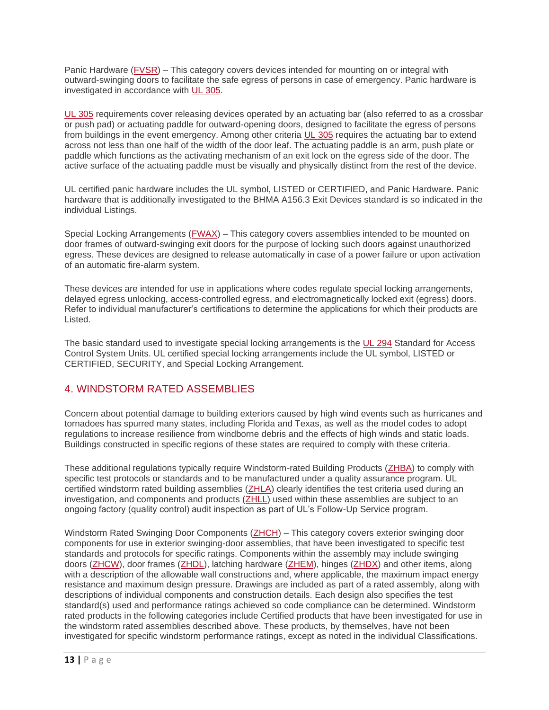Panic Hardware [\(FVSR\)](https://iq.ulprospector.com/en/profile?e=207915) – This category covers devices intended for mounting on or integral with outward-swinging doors to facilitate the safe egress of persons in case of emergency. Panic hardware is investigated in accordance with [UL 305.](https://standardscatalog.ul.com/ProductDetail.aspx?productId=UL305)

[UL 305](https://standardscatalog.ul.com/ProductDetail.aspx?productId=UL305) requirements cover releasing devices operated by an actuating bar (also referred to as a crossbar or push pad) or actuating paddle for outward-opening doors, designed to facilitate the egress of persons from buildings in the event emergency. Among other criteria [UL 305](https://standardscatalog.ul.com/ProductDetail.aspx?productId=UL305) requires the actuating bar to extend across not less than one half of the width of the door leaf. The actuating paddle is an arm, push plate or paddle which functions as the activating mechanism of an exit lock on the egress side of the door. The active surface of the actuating paddle must be visually and physically distinct from the rest of the device.

UL certified panic hardware includes the UL symbol, LISTED or CERTIFIED, and Panic Hardware. Panic hardware that is additionally investigated to the BHMA A156.3 Exit Devices standard is so indicated in the individual Listings.

Special Locking Arrangements [\(FWAX\)](https://iq.ulprospector.com/en/profile?e=207641) – This category covers assemblies intended to be mounted on door frames of outward-swinging exit doors for the purpose of locking such doors against unauthorized egress. These devices are designed to release automatically in case of a power failure or upon activation of an automatic fire-alarm system.

These devices are intended for use in applications where codes regulate special locking arrangements, delayed egress unlocking, access-controlled egress, and electromagnetically locked exit (egress) doors. Refer to individual manufacturer's certifications to determine the applications for which their products are Listed.

The basic standard used to investigate special locking arrangements is the [UL 294](https://standardscatalog.ul.com/ProductDetail.aspx?productId=UL294) Standard for Access Control System Units. UL certified special locking arrangements include the UL symbol, LISTED or CERTIFIED, SECURITY, and Special Locking Arrangement.

### 4. WINDSTORM RATED ASSEMBLIES

Concern about potential damage to building exteriors caused by high wind events such as hurricanes and tornadoes has spurred many states, including Florida and Texas, as well as the model codes to adopt regulations to increase resilience from windborne debris and the effects of high winds and static loads. Buildings constructed in specific regions of these states are required to comply with these criteria.

These additional regulations typically require Windstorm-rated Building Products [\(ZHBA\)](https://iq.ulprospector.com/en/profile?e=212630) to comply with specific test protocols or standards and to be manufactured under a quality assurance program. UL certified windstorm rated building assemblies [\(ZHLA\)](https://iq.ulprospector.com/en/profile?e=212639) clearly identifies the test criteria used during an investigation, and components and products [\(ZHLL\)](https://iq.ulprospector.com/en/profile?e=212640) used within these assemblies are subject to an ongoing factory (quality control) audit inspection as part of UL's Follow-Up Service program.

Windstorm Rated Swinging Door Components [\(ZHCH\)](https://iq.ulprospector.com/en/profile?e=212631) – This category covers exterior swinging door components for use in exterior swinging-door assemblies, that have been investigated to specific test standards and protocols for specific ratings. Components within the assembly may include swinging doors [\(ZHCW\)](https://iq.ulprospector.com/en/profile?e=207641), door frames [\(ZHDL\)](https://iq.ulprospector.com/en/profile?e=212634), latching hardware [\(ZHEM\)](https://iq.ulprospector.com/en/profile?e=212637), hinges [\(ZHDX\)](https://iq.ulprospector.com/en/profile?e=212636) and other items, along with a description of the allowable wall constructions and, where applicable, the maximum impact energy resistance and maximum design pressure. Drawings are included as part of a rated assembly, along with descriptions of individual components and construction details. Each design also specifies the test standard(s) used and performance ratings achieved so code compliance can be determined. Windstorm rated products in the following categories include Certified products that have been investigated for use in the windstorm rated assemblies described above. These products, by themselves, have not been investigated for specific windstorm performance ratings, except as noted in the individual Classifications.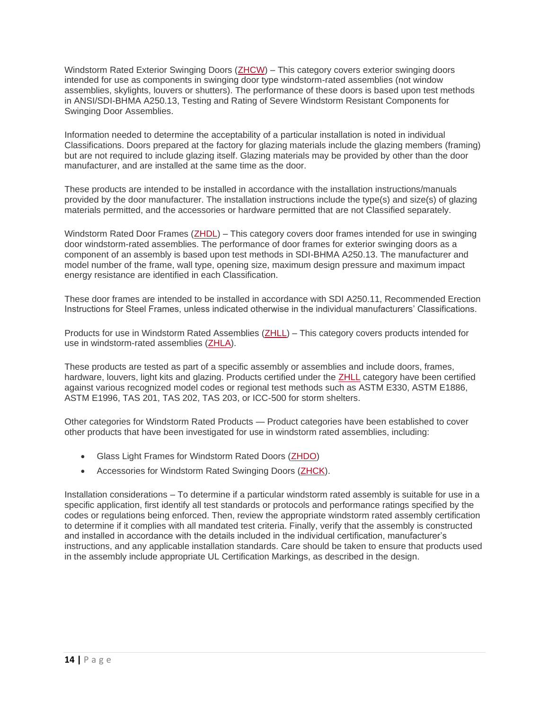Windstorm Rated Exterior Swinging Doors [\(ZHCW\)](https://iq.ulprospector.com/en/profile?e=207641) – This category covers exterior swinging doors intended for use as components in swinging door type windstorm-rated assemblies (not window assemblies, skylights, louvers or shutters). The performance of these doors is based upon test methods in ANSI/SDI-BHMA A250.13, Testing and Rating of Severe Windstorm Resistant Components for Swinging Door Assemblies.

Information needed to determine the acceptability of a particular installation is noted in individual Classifications. Doors prepared at the factory for glazing materials include the glazing members (framing) but are not required to include glazing itself. Glazing materials may be provided by other than the door manufacturer, and are installed at the same time as the door.

These products are intended to be installed in accordance with the installation instructions/manuals provided by the door manufacturer. The installation instructions include the type(s) and size(s) of glazing materials permitted, and the accessories or hardware permitted that are not Classified separately.

Windstorm Rated Door Frames [\(ZHDL\)](https://iq.ulprospector.com/en/profile?e=212634) – This category covers door frames intended for use in swinging door windstorm-rated assemblies. The performance of door frames for exterior swinging doors as a component of an assembly is based upon test methods in SDI-BHMA A250.13. The manufacturer and model number of the frame, wall type, opening size, maximum design pressure and maximum impact energy resistance are identified in each Classification.

These door frames are intended to be installed in accordance with SDI A250.11, Recommended Erection Instructions for Steel Frames, unless indicated otherwise in the individual manufacturers' Classifications.

Products for use in Windstorm Rated Assemblies [\(ZHLL\)](https://iq.ulprospector.com/en/profile?e=212640) – This category covers products intended for use in windstorm-rated assemblies [\(ZHLA\)](https://iq.ulprospector.com/en/profile?e=212639).

These products are tested as part of a specific assembly or assemblies and include doors, frames, hardware, louvers, light kits and glazing. Products certified under the [ZHLL](https://iq.ulprospector.com/en/profile?e=212640) category have been certified against various recognized model codes or regional test methods such as ASTM E330, ASTM E1886, ASTM E1996, TAS 201, TAS 202, TAS 203, or ICC-500 for storm shelters.

Other categories for Windstorm Rated Products — Product categories have been established to cover other products that have been investigated for use in windstorm rated assemblies, including:

- Glass Light Frames for Windstorm Rated Doors [\(ZHDO\)](https://iq.ulprospector.com/en/profile?e=212635)
- Accessories for Windstorm Rated Swinging Doors [\(ZHCK\)](https://iq.ulprospector.com/en/profile?e=212632).

Installation considerations – To determine if a particular windstorm rated assembly is suitable for use in a specific application, first identify all test standards or protocols and performance ratings specified by the codes or regulations being enforced. Then, review the appropriate windstorm rated assembly certification to determine if it complies with all mandated test criteria. Finally, verify that the assembly is constructed and installed in accordance with the details included in the individual certification, manufacturer's instructions, and any applicable installation standards. Care should be taken to ensure that products used in the assembly include appropriate UL Certification Markings, as described in the design.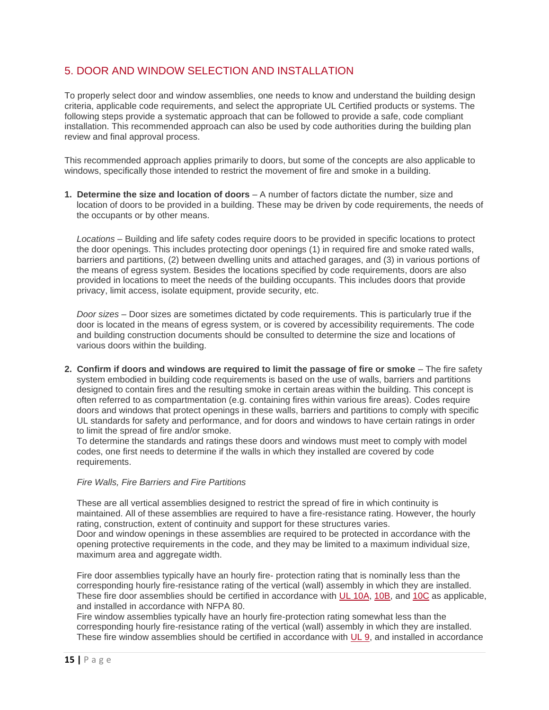### 5. DOOR AND WINDOW SELECTION AND INSTALLATION

To properly select door and window assemblies, one needs to know and understand the building design criteria, applicable code requirements, and select the appropriate UL Certified products or systems. The following steps provide a systematic approach that can be followed to provide a safe, code compliant installation. This recommended approach can also be used by code authorities during the building plan review and final approval process.

This recommended approach applies primarily to doors, but some of the concepts are also applicable to windows, specifically those intended to restrict the movement of fire and smoke in a building.

**1. Determine the size and location of doors** – A number of factors dictate the number, size and location of doors to be provided in a building. These may be driven by code requirements, the needs of the occupants or by other means.

*Locations* – Building and life safety codes require doors to be provided in specific locations to protect the door openings. This includes protecting door openings (1) in required fire and smoke rated walls, barriers and partitions, (2) between dwelling units and attached garages, and (3) in various portions of the means of egress system. Besides the locations specified by code requirements, doors are also provided in locations to meet the needs of the building occupants. This includes doors that provide privacy, limit access, isolate equipment, provide security, etc.

*Door sizes* – Door sizes are sometimes dictated by code requirements. This is particularly true if the door is located in the means of egress system, or is covered by accessibility requirements. The code and building construction documents should be consulted to determine the size and locations of various doors within the building.

**2. Confirm if doors and windows are required to limit the passage of fire or smoke** – The fire safety system embodied in building code requirements is based on the use of walls, barriers and partitions designed to contain fires and the resulting smoke in certain areas within the building. This concept is often referred to as compartmentation (e.g. containing fires within various fire areas). Codes require doors and windows that protect openings in these walls, barriers and partitions to comply with specific UL standards for safety and performance, and for doors and windows to have certain ratings in order to limit the spread of fire and/or smoke.

To determine the standards and ratings these doors and windows must meet to comply with model codes, one first needs to determine if the walls in which they installed are covered by code requirements.

#### *Fire Walls, Fire Barriers and Fire Partitions*

These are all vertical assemblies designed to restrict the spread of fire in which continuity is maintained. All of these assemblies are required to have a fire-resistance rating. However, the hourly rating, construction, extent of continuity and support for these structures varies. Door and window openings in these assemblies are required to be protected in accordance with the opening protective requirements in the code, and they may be limited to a maximum individual size, maximum area and aggregate width.

Fire door assemblies typically have an hourly fire- protection rating that is nominally less than the corresponding hourly fire-resistance rating of the vertical (wall) assembly in which they are installed. These fire door assemblies should be certified in accordance with [UL 10A,](https://standardscatalog.ul.com/ProductDetail.aspx?productId=UL10A) [10B,](https://standardscatalog.ul.com/ProductDetail.aspx?productId=UL10B) and [10C](https://standardscatalog.ul.com/ProductDetail.aspx?productId=UL10C) as applicable, and installed in accordance with NFPA 80.

Fire window assemblies typically have an hourly fire-protection rating somewhat less than the corresponding hourly fire-resistance rating of the vertical (wall) assembly in which they are installed. These fire window assemblies should be certified in accordance with [UL 9,](https://standardscatalog.ul.com/ProductDetail.aspx?productId=UL9) and installed in accordance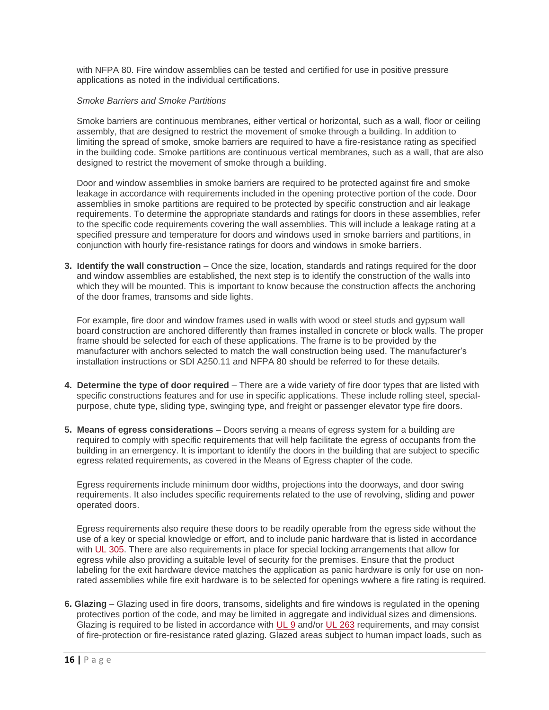with NFPA 80. Fire window assemblies can be tested and certified for use in positive pressure applications as noted in the individual certifications.

#### *Smoke Barriers and Smoke Partitions*

Smoke barriers are continuous membranes, either vertical or horizontal, such as a wall, floor or ceiling assembly, that are designed to restrict the movement of smoke through a building. In addition to limiting the spread of smoke, smoke barriers are required to have a fire-resistance rating as specified in the building code. Smoke partitions are continuous vertical membranes, such as a wall, that are also designed to restrict the movement of smoke through a building.

Door and window assemblies in smoke barriers are required to be protected against fire and smoke leakage in accordance with requirements included in the opening protective portion of the code. Door assemblies in smoke partitions are required to be protected by specific construction and air leakage requirements. To determine the appropriate standards and ratings for doors in these assemblies, refer to the specific code requirements covering the wall assemblies. This will include a leakage rating at a specified pressure and temperature for doors and windows used in smoke barriers and partitions, in conjunction with hourly fire-resistance ratings for doors and windows in smoke barriers.

**3. Identify the wall construction** – Once the size, location, standards and ratings required for the door and window assemblies are established, the next step is to identify the construction of the walls into which they will be mounted. This is important to know because the construction affects the anchoring of the door frames, transoms and side lights.

For example, fire door and window frames used in walls with wood or steel studs and gypsum wall board construction are anchored differently than frames installed in concrete or block walls. The proper frame should be selected for each of these applications. The frame is to be provided by the manufacturer with anchors selected to match the wall construction being used. The manufacturer's installation instructions or SDI A250.11 and NFPA 80 should be referred to for these details.

- **4. Determine the type of door required** There are a wide variety of fire door types that are listed with specific constructions features and for use in specific applications. These include rolling steel, specialpurpose, chute type, sliding type, swinging type, and freight or passenger elevator type fire doors.
- **5. Means of egress considerations** Doors serving a means of egress system for a building are required to comply with specific requirements that will help facilitate the egress of occupants from the building in an emergency. It is important to identify the doors in the building that are subject to specific egress related requirements, as covered in the Means of Egress chapter of the code.

Egress requirements include minimum door widths, projections into the doorways, and door swing requirements. It also includes specific requirements related to the use of revolving, sliding and power operated doors.

Egress requirements also require these doors to be readily operable from the egress side without the use of a key or special knowledge or effort, and to include panic hardware that is listed in accordance with [UL 305.](https://standardscatalog.ul.com/ProductDetail.aspx?productId=UL305) There are also requirements in place for special locking arrangements that allow for egress while also providing a suitable level of security for the premises. Ensure that the product labeling for the exit hardware device matches the application as panic hardware is only for use on nonrated assemblies while fire exit hardware is to be selected for openings wwhere a fire rating is required.

**6. Glazing** – Glazing used in fire doors, transoms, sidelights and fire windows is regulated in the opening protectives portion of the code, and may be limited in aggregate and individual sizes and dimensions. Glazing is required to be listed in accordance with [UL](https://standardscatalog.ul.com/ProductDetail.aspx?productId=UL9) 9 and/or [UL 263](https://standardscatalog.ul.com/ProductDetail.aspx?productId=UL263) requirements, and may consist of fire-protection or fire-resistance rated glazing. Glazed areas subject to human impact loads, such as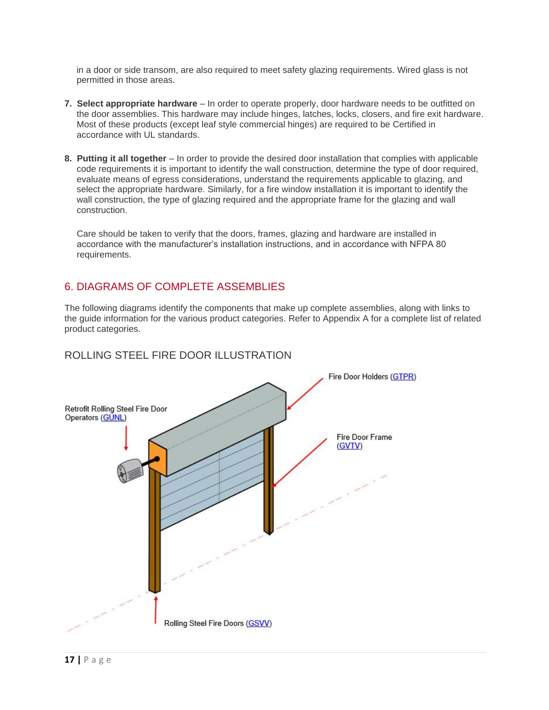in a door or side transom, are also required to meet safety glazing requirements. Wired glass is not permitted in those areas.

- **7. Select appropriate hardware** In order to operate properly, door hardware needs to be outfitted on the door assemblies. This hardware may include hinges, latches, locks, closers, and fire exit hardware. Most of these products (except leaf style commercial hinges) are required to be Certified in accordance with UL standards.
- **8. Putting it all together** In order to provide the desired door installation that complies with applicable code requirements it is important to identify the wall construction, determine the type of door required, evaluate means of egress considerations, understand the requirements applicable to glazing, and select the appropriate hardware. Similarly, for a fire window installation it is important to identify the wall construction, the type of glazing required and the appropriate frame for the glazing and wall construction.

Care should be taken to verify that the doors, frames, glazing and hardware are installed in accordance with the manufacturer's installation instructions, and in accordance with NFPA 80 requirements.

### 6. DIAGRAMS OF COMPLETE ASSEMBLIES

The following diagrams identify the components that make up complete assemblies, along with links to the guide information for the various product categories. Refer to Appendix A for a complete list of related product categories.



### ROLLING STEEL FIRE DOOR ILLUSTRATION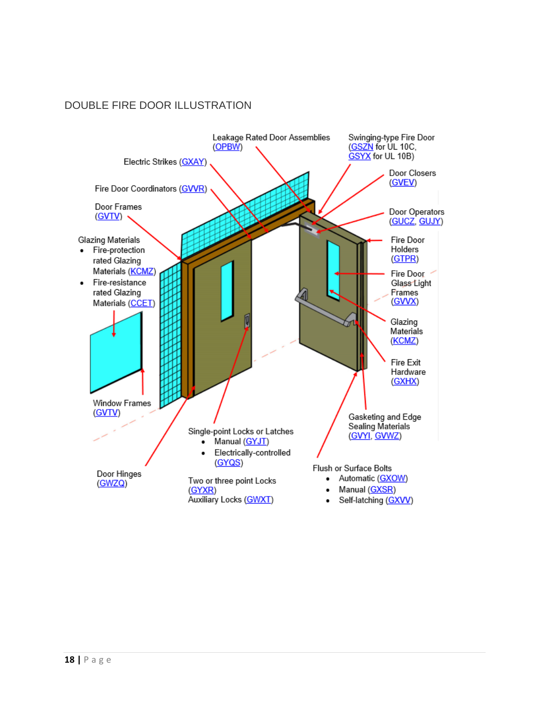### DOUBLE FIRE DOOR ILLUSTRATION

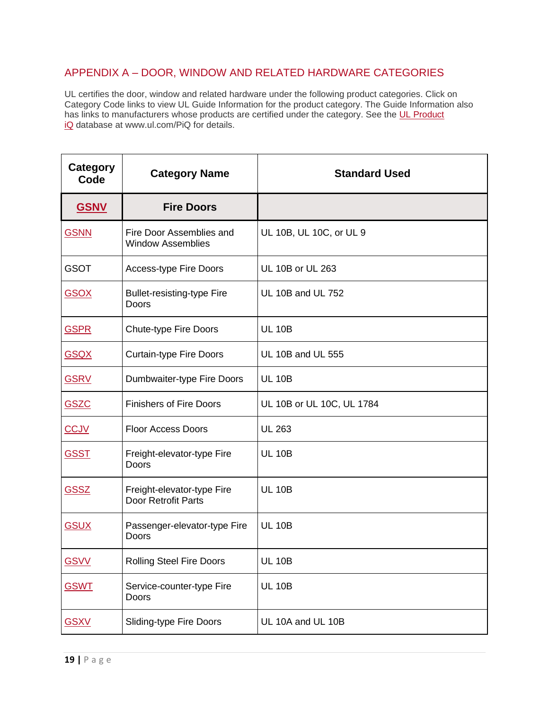### APPENDIX A – DOOR, WINDOW AND RELATED HARDWARE CATEGORIES

UL certifies the door, window and related hardware under the following product categories. Click on Category Code links to view UL Guide Information for the product category. The Guide Information also has links to manufacturers whose products are certified under the category. See the UL Product [iQ](http://www.ul/com/piq) database at www.ul.com/PiQ for details.

| Category<br>Code | <b>Category Name</b>                                 | <b>Standard Used</b>      |
|------------------|------------------------------------------------------|---------------------------|
| <b>GSNV</b>      | <b>Fire Doors</b>                                    |                           |
| <b>GSNN</b>      | Fire Door Assemblies and<br><b>Window Assemblies</b> | UL 10B, UL 10C, or UL 9   |
| <b>GSOT</b>      | <b>Access-type Fire Doors</b>                        | UL 10B or UL 263          |
| <b>GSOX</b>      | <b>Bullet-resisting-type Fire</b><br>Doors           | <b>UL 10B and UL 752</b>  |
| <b>GSPR</b>      | <b>Chute-type Fire Doors</b>                         | <b>UL 10B</b>             |
| <b>GSQX</b>      | <b>Curtain-type Fire Doors</b>                       | <b>UL 10B and UL 555</b>  |
| <b>GSRV</b>      | Dumbwaiter-type Fire Doors                           | <b>UL 10B</b>             |
| <b>GSZC</b>      | <b>Finishers of Fire Doors</b>                       | UL 10B or UL 10C, UL 1784 |
| CCJV             | <b>Floor Access Doors</b>                            | <b>UL 263</b>             |
| <b>GSST</b>      | Freight-elevator-type Fire<br>Doors                  | <b>UL 10B</b>             |
| <b>GSSZ</b>      | Freight-elevator-type Fire<br>Door Retrofit Parts    | <b>UL 10B</b>             |
| <b>GSUX</b>      | Passenger-elevator-type Fire<br>Doors                | <b>UL 10B</b>             |
| <b>GSVV</b>      | <b>Rolling Steel Fire Doors</b>                      | <b>UL 10B</b>             |
| <b>GSWT</b>      | Service-counter-type Fire<br>Doors                   | <b>UL 10B</b>             |
| <b>GSXV</b>      | <b>Sliding-type Fire Doors</b>                       | UL 10A and UL 10B         |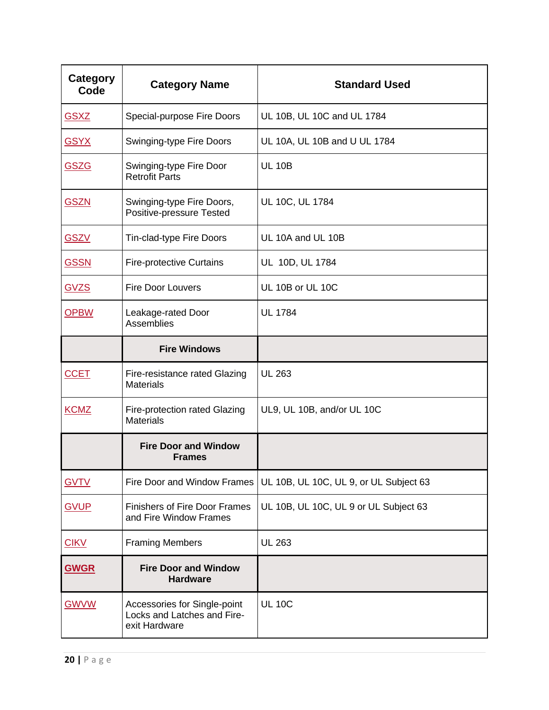| Category<br>Code | <b>Category Name</b>                                                         | <b>Standard Used</b>                   |
|------------------|------------------------------------------------------------------------------|----------------------------------------|
| <b>GSXZ</b>      | Special-purpose Fire Doors                                                   | UL 10B, UL 10C and UL 1784             |
| <b>GSYX</b>      | Swinging-type Fire Doors                                                     | UL 10A, UL 10B and U UL 1784           |
| <b>GSZG</b>      | Swinging-type Fire Door<br><b>Retrofit Parts</b>                             | <b>UL 10B</b>                          |
| <b>GSZN</b>      | Swinging-type Fire Doors,<br>Positive-pressure Tested                        | UL 10C, UL 1784                        |
| <b>GSZV</b>      | Tin-clad-type Fire Doors                                                     | UL 10A and UL 10B                      |
| <b>GSSN</b>      | <b>Fire-protective Curtains</b>                                              | UL 10D, UL 1784                        |
| <b>GVZS</b>      | <b>Fire Door Louvers</b>                                                     | UL 10B or UL 10C                       |
| <b>OPBW</b>      | Leakage-rated Door<br>Assemblies                                             | <b>UL 1784</b>                         |
|                  | <b>Fire Windows</b>                                                          |                                        |
| <b>CCET</b>      | Fire-resistance rated Glazing<br><b>Materials</b>                            | <b>UL 263</b>                          |
| <b>KCMZ</b>      | Fire-protection rated Glazing<br><b>Materials</b>                            | UL9, UL 10B, and/or UL 10C             |
|                  | <b>Fire Door and Window</b><br><b>Frames</b>                                 |                                        |
| <b>GVTV</b>      | <b>Fire Door and Window Frames</b>                                           | UL 10B, UL 10C, UL 9, or UL Subject 63 |
| <b>GVUP</b>      | <b>Finishers of Fire Door Frames</b><br>and Fire Window Frames               | UL 10B, UL 10C, UL 9 or UL Subject 63  |
| <b>CIKV</b>      | <b>Framing Members</b>                                                       | <b>UL 263</b>                          |
| <b>GWGR</b>      | <b>Fire Door and Window</b><br><b>Hardware</b>                               |                                        |
| <b>GWVW</b>      | Accessories for Single-point<br>Locks and Latches and Fire-<br>exit Hardware | <b>UL 10C</b>                          |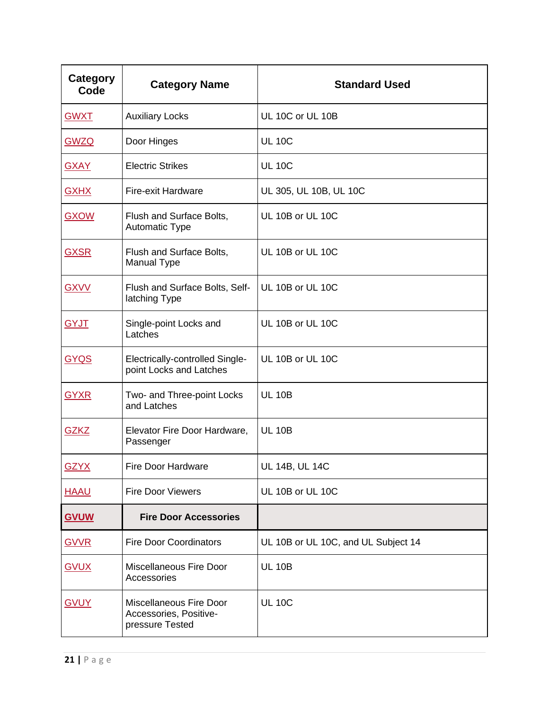| Category<br>Code | <b>Category Name</b>                                                 | <b>Standard Used</b>                |
|------------------|----------------------------------------------------------------------|-------------------------------------|
| <b>GWXT</b>      | <b>Auxiliary Locks</b>                                               | UL 10C or UL 10B                    |
| <b>GWZQ</b>      | Door Hinges                                                          | <b>UL 10C</b>                       |
| <b>GXAY</b>      | <b>Electric Strikes</b>                                              | <b>UL 10C</b>                       |
| <b>GXHX</b>      | Fire-exit Hardware                                                   | UL 305, UL 10B, UL 10C              |
| <b>GXOW</b>      | Flush and Surface Bolts,<br><b>Automatic Type</b>                    | UL 10B or UL 10C                    |
| <b>GXSR</b>      | Flush and Surface Bolts,<br>Manual Type                              | UL 10B or UL 10C                    |
| <b>GXVV</b>      | Flush and Surface Bolts, Self-<br>latching Type                      | UL 10B or UL 10C                    |
| <b>GYJT</b>      | Single-point Locks and<br>Latches                                    | UL 10B or UL 10C                    |
| <b>GYQS</b>      | Electrically-controlled Single-<br>point Locks and Latches           | UL 10B or UL 10C                    |
| <b>GYXR</b>      | Two- and Three-point Locks<br>and Latches                            | <b>UL 10B</b>                       |
| <b>GZKZ</b>      | Elevator Fire Door Hardware,<br>Passenger                            | <b>UL 10B</b>                       |
| <b>GZYX</b>      | Fire Door Hardware                                                   | <b>UL 14B, UL 14C</b>               |
| <b>HAAU</b>      | <b>Fire Door Viewers</b>                                             | UL 10B or UL 10C                    |
| <b>GVUW</b>      | <b>Fire Door Accessories</b>                                         |                                     |
| <b>GVVR</b>      | <b>Fire Door Coordinators</b>                                        | UL 10B or UL 10C, and UL Subject 14 |
| <b>GVUX</b>      | Miscellaneous Fire Door<br>Accessories                               | <b>UL 10B</b>                       |
| <b>GVUY</b>      | Miscellaneous Fire Door<br>Accessories, Positive-<br>pressure Tested | <b>UL 10C</b>                       |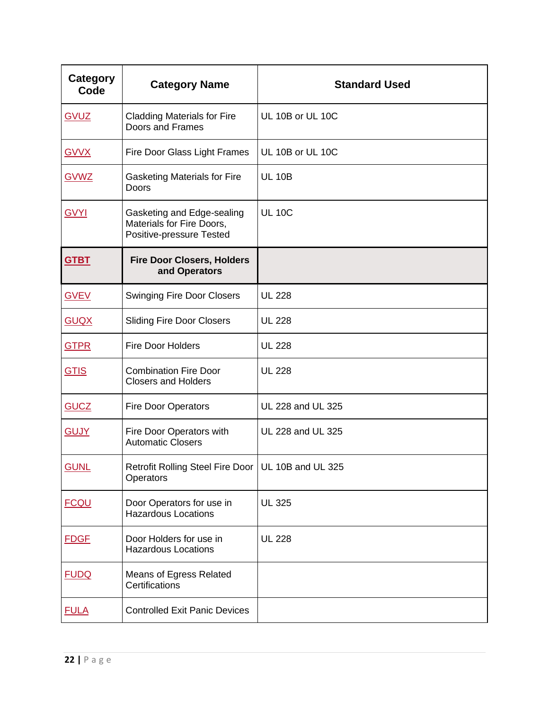| <b>Category</b><br>Code | <b>Category Name</b>                                                                | <b>Standard Used</b> |
|-------------------------|-------------------------------------------------------------------------------------|----------------------|
| <b>GVUZ</b>             | <b>Cladding Materials for Fire</b><br>Doors and Frames                              | UL 10B or UL 10C     |
| <b>GVVX</b>             | Fire Door Glass Light Frames                                                        | UL 10B or UL 10C     |
| <b>GVWZ</b>             | <b>Gasketing Materials for Fire</b><br>Doors                                        | <b>UL 10B</b>        |
| <b>GVYI</b>             | Gasketing and Edge-sealing<br>Materials for Fire Doors,<br>Positive-pressure Tested | <b>UL 10C</b>        |
| <b>GTBT</b>             | <b>Fire Door Closers, Holders</b><br>and Operators                                  |                      |
| <b>GVEV</b>             | <b>Swinging Fire Door Closers</b>                                                   | <b>UL 228</b>        |
| <b>GUQX</b>             | <b>Sliding Fire Door Closers</b>                                                    | <b>UL 228</b>        |
| <b>GTPR</b>             | <b>Fire Door Holders</b>                                                            | <b>UL 228</b>        |
| <b>GTIS</b>             | <b>Combination Fire Door</b><br><b>Closers and Holders</b>                          | <b>UL 228</b>        |
| <b>GUCZ</b>             | <b>Fire Door Operators</b>                                                          | UL 228 and UL 325    |
| <b>GUJY</b>             | Fire Door Operators with<br><b>Automatic Closers</b>                                | UL 228 and UL 325    |
| <b>GUNL</b>             | Retrofit Rolling Steel Fire Door   UL 10B and UL 325<br>Operators                   |                      |
| <b>FCQU</b>             | Door Operators for use in<br><b>Hazardous Locations</b>                             | <b>UL 325</b>        |
| <b>FDGF</b>             | Door Holders for use in<br><b>Hazardous Locations</b>                               | <b>UL 228</b>        |
| <b>FUDQ</b>             | Means of Egress Related<br>Certifications                                           |                      |
| <b>FULA</b>             | <b>Controlled Exit Panic Devices</b>                                                |                      |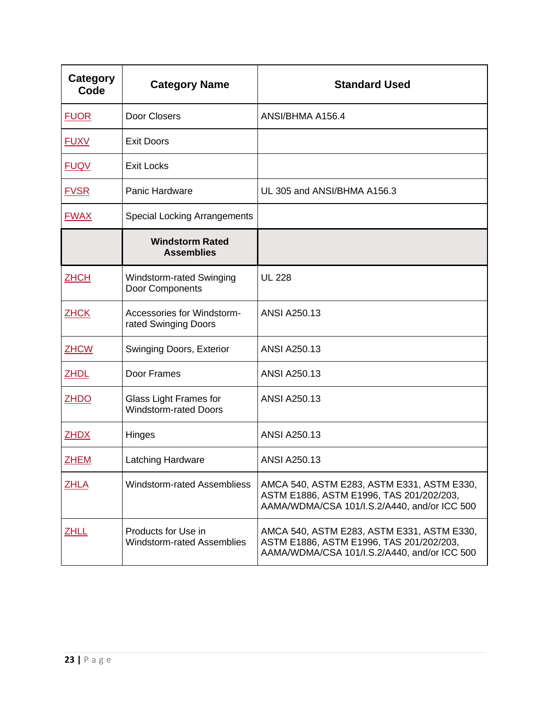| Category<br>Code | <b>Category Name</b>                                          | <b>Standard Used</b>                                                                                                                   |
|------------------|---------------------------------------------------------------|----------------------------------------------------------------------------------------------------------------------------------------|
| <b>FUOR</b>      | Door Closers                                                  | ANSI/BHMA A156.4                                                                                                                       |
| <b>FUXV</b>      | <b>Exit Doors</b>                                             |                                                                                                                                        |
| <b>FUQV</b>      | <b>Exit Locks</b>                                             |                                                                                                                                        |
| <b>FVSR</b>      | Panic Hardware                                                | UL 305 and ANSI/BHMA A156.3                                                                                                            |
| <b>FWAX</b>      | <b>Special Locking Arrangements</b>                           |                                                                                                                                        |
|                  | <b>Windstorm Rated</b><br><b>Assemblies</b>                   |                                                                                                                                        |
| <b>ZHCH</b>      | Windstorm-rated Swinging<br>Door Components                   | <b>UL 228</b>                                                                                                                          |
| <b>ZHCK</b>      | Accessories for Windstorm-<br>rated Swinging Doors            | <b>ANSI A250.13</b>                                                                                                                    |
| <b>ZHCW</b>      | Swinging Doors, Exterior                                      | <b>ANSI A250.13</b>                                                                                                                    |
| <b>ZHDL</b>      | Door Frames                                                   | <b>ANSI A250.13</b>                                                                                                                    |
| <b>ZHDO</b>      | <b>Glass Light Frames for</b><br><b>Windstorm-rated Doors</b> | <b>ANSI A250.13</b>                                                                                                                    |
| <b>ZHDX</b>      | Hinges                                                        | <b>ANSI A250.13</b>                                                                                                                    |
| <b>ZHEM</b>      | Latching Hardware                                             | <b>ANSI A250.13</b>                                                                                                                    |
| <b>ZHLA</b>      | Windstorm-rated Assembliess                                   | AMCA 540, ASTM E283, ASTM E331, ASTM E330,<br>ASTM E1886, ASTM E1996, TAS 201/202/203,<br>AAMA/WDMA/CSA 101/I.S.2/A440, and/or ICC 500 |
| ZHLL             | Products for Use in<br>Windstorm-rated Assemblies             | AMCA 540, ASTM E283, ASTM E331, ASTM E330,<br>ASTM E1886, ASTM E1996, TAS 201/202/203,<br>AAMA/WDMA/CSA 101/I.S.2/A440, and/or ICC 500 |